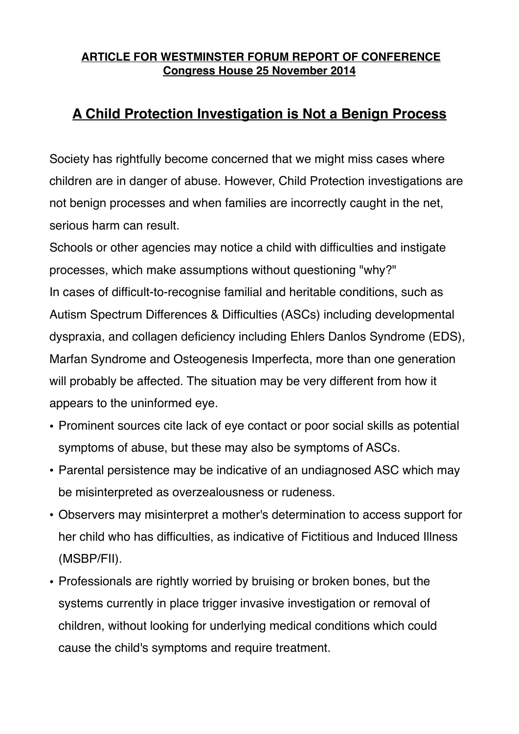## **ARTICLE FOR WESTMINSTER FORUM REPORT OF CONFERENCE Congress House 25 November 2014**

## **A Child Protection Investigation is Not a Benign Process**

Society has rightfully become concerned that we might miss cases where children are in danger of abuse. However, Child Protection investigations are not benign processes and when families are incorrectly caught in the net, serious harm can result.

Schools or other agencies may notice a child with difficulties and instigate processes, which make assumptions without questioning "why?" In cases of difficult-to-recognise familial and heritable conditions, such as Autism Spectrum Differences & Difficulties (ASCs) including developmental dyspraxia, and collagen deficiency including Ehlers Danlos Syndrome (EDS), Marfan Syndrome and Osteogenesis Imperfecta, more than one generation will probably be affected. The situation may be very different from how it appears to the uninformed eye.

- Prominent sources cite lack of eye contact or poor social skills as potential symptoms of abuse, but these may also be symptoms of ASCs.
- Parental persistence may be indicative of an undiagnosed ASC which may be misinterpreted as overzealousness or rudeness.
- Observers may misinterpret a mother's determination to access support for her child who has difficulties, as indicative of Fictitious and Induced Illness (MSBP/FII).
- Professionals are rightly worried by bruising or broken bones, but the systems currently in place trigger invasive investigation or removal of children, without looking for underlying medical conditions which could cause the child's symptoms and require treatment.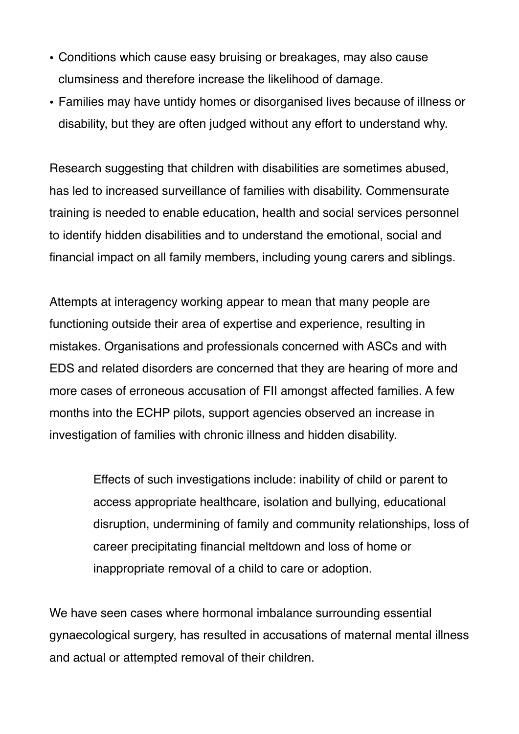- Conditions which cause easy bruising or breakages, may also cause clumsiness and therefore increase the likelihood of damage.
- Families may have untidy homes or disorganised lives because of illness or disability, but they are often judged without any effort to understand why.

Research suggesting that children with disabilities are sometimes abused, has led to increased surveillance of families with disability. Commensurate training is needed to enable education, health and social services personnel to identify hidden disabilities and to understand the emotional, social and financial impact on all family members, including young carers and siblings.

Attempts at interagency working appear to mean that many people are functioning outside their area of expertise and experience, resulting in mistakes. Organisations and professionals concerned with ASCs and with EDS and related disorders are concerned that they are hearing of more and more cases of erroneous accusation of FII amongst affected families. A few months into the ECHP pilots, support agencies observed an increase in investigation of families with chronic illness and hidden disability.

> Effects of such investigations include: inability of child or parent to access appropriate healthcare, isolation and bullying, educational disruption, undermining of family and community relationships, loss of career precipitating financial meltdown and loss of home or inappropriate removal of a child to care or adoption.

We have seen cases where hormonal imbalance surrounding essential gynaecological surgery, has resulted in accusations of maternal mental illness and actual or attempted removal of their children.